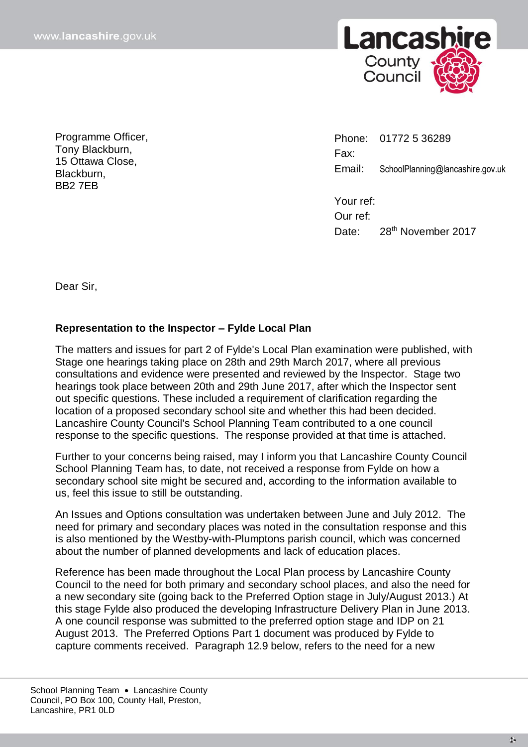

Programme Officer, Tony Blackburn, 15 Ottawa Close, Blackburn, BB2 7EB

Phone: 01772 5 36289 Fax: Email: SchoolPlanning@lancashire.gov.uk

Your ref: Our ref: Date: 28<sup>th</sup> November 2017

Dear Sir,

## **Representation to the Inspector – Fylde Local Plan**

The matters and issues for part 2 of Fylde's Local Plan examination were published, with Stage one hearings taking place on 28th and 29th March 2017, where all previous consultations and evidence were presented and reviewed by the Inspector. Stage two hearings took place between 20th and 29th June 2017, after which the Inspector sent out specific questions. These included a requirement of clarification regarding the location of a proposed secondary school site and whether this had been decided. Lancashire County Council's School Planning Team contributed to a one council response to the specific questions. The response provided at that time is attached.

Further to your concerns being raised, may I inform you that Lancashire County Council School Planning Team has, to date, not received a response from Fylde on how a secondary school site might be secured and, according to the information available to us, feel this issue to still be outstanding.

An Issues and Options consultation was undertaken between June and July 2012. The need for primary and secondary places was noted in the consultation response and this is also mentioned by the Westby-with-Plumptons parish council, which was concerned about the number of planned developments and lack of education places.

Reference has been made throughout the Local Plan process by Lancashire County Council to the need for both primary and secondary school places, and also the need for a new secondary site (going back to the Preferred Option stage in July/August 2013.) At this stage Fylde also produced the developing Infrastructure Delivery Plan in June 2013. A one council response was submitted to the preferred option stage and IDP on 21 August 2013. The Preferred Options Part 1 document was produced by Fylde to capture comments received. Paragraph 12.9 below, refers to the need for a new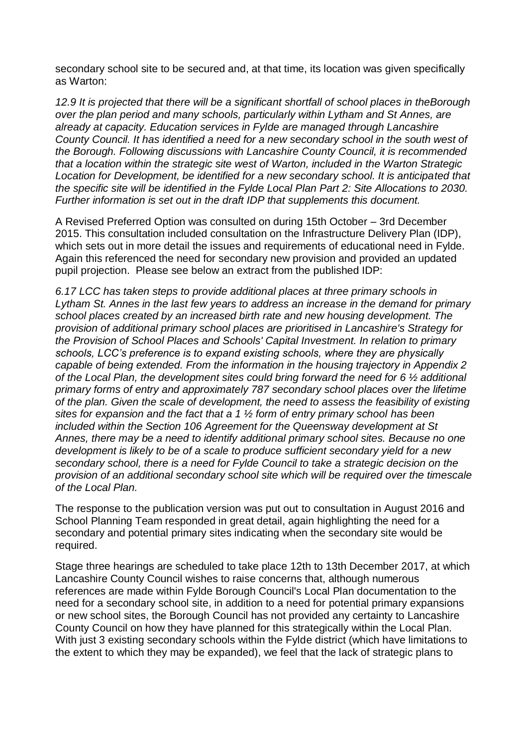secondary school site to be secured and, at that time, its location was given specifically as Warton:

*12.9 It is projected that there will be a significant shortfall of school places in theBorough over the plan period and many schools, particularly within Lytham and St Annes, are already at capacity. Education services in Fylde are managed through Lancashire County Council. It has identified a need for a new secondary school in the south west of the Borough. Following discussions with Lancashire County Council, it is recommended that a location within the strategic site west of Warton, included in the Warton Strategic Location for Development, be identified for a new secondary school. It is anticipated that the specific site will be identified in the Fylde Local Plan Part 2: Site Allocations to 2030. Further information is set out in the draft IDP that supplements this document.*

A Revised Preferred Option was consulted on during 15th October – 3rd December 2015. This consultation included consultation on the Infrastructure Delivery Plan (IDP), which sets out in more detail the issues and requirements of educational need in Fylde. Again this referenced the need for secondary new provision and provided an updated pupil projection. Please see below an extract from the published IDP:

*6.17 LCC has taken steps to provide additional places at three primary schools in Lytham St. Annes in the last few years to address an increase in the demand for primary school places created by an increased birth rate and new housing development. The provision of additional primary school places are prioritised in Lancashire's Strategy for the Provision of School Places and Schools' Capital Investment. In relation to primary schools, LCC's preference is to expand existing schools, where they are physically capable of being extended. From the information in the housing trajectory in Appendix 2 of the Local Plan, the development sites could bring forward the need for 6 ½ additional primary forms of entry and approximately 787 secondary school places over the lifetime of the plan. Given the scale of development, the need to assess the feasibility of existing sites for expansion and the fact that a 1 ½ form of entry primary school has been included within the Section 106 Agreement for the Queensway development at St Annes, there may be a need to identify additional primary school sites. Because no one development is likely to be of a scale to produce sufficient secondary yield for a new secondary school, there is a need for Fylde Council to take a strategic decision on the provision of an additional secondary school site which will be required over the timescale of the Local Plan.*

The response to the publication version was put out to consultation in August 2016 and School Planning Team responded in great detail, again highlighting the need for a secondary and potential primary sites indicating when the secondary site would be required.

Stage three hearings are scheduled to take place 12th to 13th December 2017, at which Lancashire County Council wishes to raise concerns that, although numerous references are made within Fylde Borough Council's Local Plan documentation to the need for a secondary school site, in addition to a need for potential primary expansions or new school sites, the Borough Council has not provided any certainty to Lancashire County Council on how they have planned for this strategically within the Local Plan. With just 3 existing secondary schools within the Fylde district (which have limitations to the extent to which they may be expanded), we feel that the lack of strategic plans to